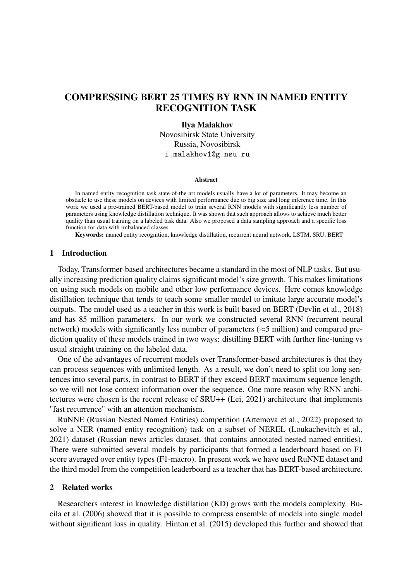# COMPRESSING BERT 25 TIMES BY RNN IN NAMED ENTITY RECOGNITION TASK

#### Ilya Malakhov

Novosibirsk State University Russia, Novosibirsk i.malakhov1@g.nsu.ru

#### Abstract

In named entity recognition task state-of-the-art models usually have a lot of parameters. It may become an obstacle to use these models on devices with limited performance due to big size and long inference time. In this work we used a pre-trained BERT-based model to train several RNN models with significantly less number of parameters using knowledge distillation technique. It was shown that such approach allows to achieve much better quality than usual training on a labeled task data. Also we proposed a data sampling approach and a specific loss function for data with imbalanced classes.

Keywords: named entity recognition, knowledge distillation, recurrent neural network, LSTM, SRU, BERT

## 1 Introduction

Today, Transformer-based architectures became a standard in the most of NLP tasks. But usually increasing prediction quality claims significant model's size growth. This makes limitations on using such models on mobile and other low performance devices. Here comes knowledge distillation technique that tends to teach some smaller model to imitate large accurate model's outputs. The model used as a teacher in this work is built based on BERT [\(Devlin et al., 2018\)](#page-5-0) and has 85 million parameters. In our work we constructed several RNN (recurrent neural network) models with significantly less number of parameters ( $\approx$ 5 million) and compared prediction quality of these models trained in two ways: distilling BERT with further fine-tuning vs usual straight training on the labeled data.

One of the advantages of recurrent models over Transformer-based architectures is that they can process sequences with unlimited length. As a result, we don't need to split too long sentences into several parts, in contrast to BERT if they exceed BERT maximum sequence length, so we will not lose context information over the sequence. One more reason why RNN architectures were chosen is the recent release of SRU++ [\(Lei, 2021\)](#page-6-0) architecture that implements "fast recurrence" with an attention mechanism.

RuNNE (Russian Nested Named Entities) competition [\(Artemova et al., 2022\)](#page-5-1) proposed to solve a NER (named entity recognition) task on a subset of NEREL [\(Loukachevitch et al.,](#page-6-1) [2021\)](#page-6-1) dataset (Russian news articles dataset, that contains annotated nested named entities). There were submitted several models by participants that formed a leaderboard based on F1 score averaged over entity types (F1-macro). In present work we have used RuNNE dataset and the third model from the competition leaderboard as a teacher that has BERT-based architecture.

#### 2 Related works

Researchers interest in knowledge distillation (KD) grows with the models complexity. [Bu](#page-5-2)[cila et al. \(2006\)](#page-5-2) showed that it is possible to compress ensemble of models into single model without significant loss in quality. [Hinton et al. \(2015\)](#page-5-3) developed this further and showed that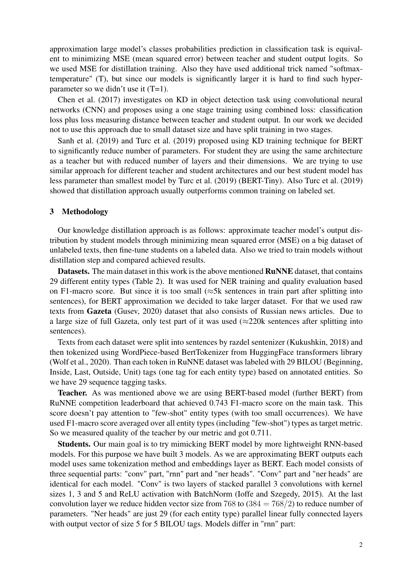approximation large model's classes probabilities prediction in classification task is equivalent to minimizing MSE (mean squared error) between teacher and student output logits. So we used MSE for distillation training. Also they have used additional trick named "softmaxtemperature" (T), but since our models is significantly larger it is hard to find such hyperparameter so we didn't use it (T=1).

[Chen et al. \(2017\)](#page-5-4) investigates on KD in object detection task using convolutional neural networks (CNN) and proposes using a one stage training using combined loss: classification loss plus loss measuring distance between teacher and student output. In our work we decided not to use this approach due to small dataset size and have split training in two stages.

[Sanh et al. \(2019\)](#page-6-2) and [Turc et al. \(2019\)](#page-6-3) proposed using KD training technique for BERT to significantly reduce number of parameters. For student they are using the same architecture as a teacher but with reduced number of layers and their dimensions. We are trying to use similar approach for different teacher and student architectures and our best student model has less parameter than smallest model by [Turc et al. \(2019\)](#page-6-3) (BERT-Tiny). Also [Turc et al. \(2019\)](#page-6-3) showed that distillation approach usually outperforms common training on labeled set.

### <span id="page-1-0"></span>3 Methodology

Our knowledge distillation approach is as follows: approximate teacher model's output distribution by student models through minimizing mean squared error (MSE) on a big dataset of unlabeled texts, then fine-tune students on a labeled data. Also we tried to train models without distillation step and compared achieved results.

Datasets. The main dataset in this work is the above mentioned RuNNE dataset, that contains 29 different entity types [\(Table 2\)](#page-4-0). It was used for NER training and quality evaluation based on F1-macro score. But since it is too small ( $\approx$ 5k sentences in train part after splitting into sentences), for BERT approximation we decided to take larger dataset. For that we used raw texts from Gazeta [\(Gusev, 2020\)](#page-5-5) dataset that also consists of Russian news articles. Due to a large size of full Gazeta, only test part of it was used  $(\approx 220k$  sentences after splitting into sentences).

Texts from each dataset were split into sentences by razdel sentenizer [\(Kukushkin, 2018\)](#page-6-4) and then tokenized using WordPiece-based BertTokenizer from HuggingFace transformers library [\(Wolf et al., 2020\)](#page-6-5). Than each token in RuNNE dataset was labeled with 29 BILOU (Beginning, Inside, Last, Outside, Unit) tags (one tag for each entity type) based on annotated entities. So we have 29 sequence tagging tasks.

Teacher. As was mentioned above we are using BERT-based model (further BERT) from RuNNE competition leaderboard that achieved 0.743 F1-macro score on the main task. This score doesn't pay attention to "few-shot" entity types (with too small occurrences). We have used F1-macro score averaged over all entity types (including "few-shot") types as target metric. So we measured quality of the teacher by our metric and got 0.711.

Students. Our main goal is to try mimicking BERT model by more lightweight RNN-based models. For this purpose we have built 3 models. As we are approximating BERT outputs each model uses same tokenization method and embeddings layer as BERT. Each model consists of three sequential parts: "conv" part, "rnn" part and "ner heads". "Conv" part and "ner heads" are identical for each model. "Conv" is two layers of stacked parallel 3 convolutions with kernel sizes 1, 3 and 5 and ReLU activation with BatchNorm [\(Ioffe and Szegedy, 2015\)](#page-5-6). At the last convolution layer we reduce hidden vector size from 768 to  $(384 = 768/2)$  to reduce number of parameters. "Ner heads" are just 29 (for each entity type) parallel linear fully connected layers with output vector of size 5 for 5 BILOU tags. Models differ in "rnn" part: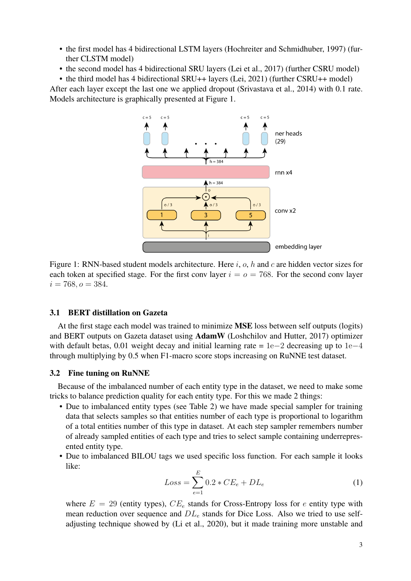- the first model has 4 bidirectional LSTM layers [\(Hochreiter and Schmidhuber, 1997\)](#page-5-7) (further CLSTM model)
- the second model has 4 bidirectional SRU layers [\(Lei et al., 2017\)](#page-6-6) (further CSRU model)

<span id="page-2-0"></span>• the third model has 4 bidirectional SRU++ layers [\(Lei, 2021\)](#page-6-0) (further CSRU++ model) After each layer except the last one we applied dropout [\(Srivastava et al., 2014\)](#page-6-7) with 0.1 rate. Models architecture is graphically presented at [Figure 1.](#page-2-0)



Figure 1: RNN-based student models architecture. Here  $i$ ,  $o$ ,  $h$  and  $c$  are hidden vector sizes for each token at specified stage. For the first conv layer  $i = 0 = 768$ . For the second conv layer  $i = 768, o = 384.$ 

### <span id="page-2-1"></span>3.1 BERT distillation on Gazeta

At the first stage each model was trained to minimize MSE loss between self outputs (logits) and BERT outputs on Gazeta dataset using AdamW [\(Loshchilov and Hutter, 2017\)](#page-6-8) optimizer with default betas, 0.01 weight decay and initial learning rate =  $1e-2$  decreasing up to  $1e-4$ through multiplying by 0.5 when F1-macro score stops increasing on RuNNE test dataset.

#### 3.2 Fine tuning on RuNNE

Because of the imbalanced number of each entity type in the dataset, we need to make some tricks to balance prediction quality for each entity type. For this we made 2 things:

- Due to imbalanced entity types (see [Table 2\)](#page-4-0) we have made special sampler for training data that selects samples so that entities number of each type is proportional to logarithm of a total entities number of this type in dataset. At each step sampler remembers number of already sampled entities of each type and tries to select sample containing underrepresented entity type.
- Due to imbalanced BILOU tags we used specific loss function. For each sample it looks like:

$$
Loss = \sum_{e=1}^{E} 0.2 * CE_e + DL_e
$$
 (1)

where  $E = 29$  (entity types),  $CE_e$  stands for Cross-Entropy loss for e entity type with mean reduction over sequence and  $DL_e$  stands for Dice Loss. Also we tried to use selfadjusting technique showed by [\(Li et al., 2020\)](#page-6-9), but it made training more unstable and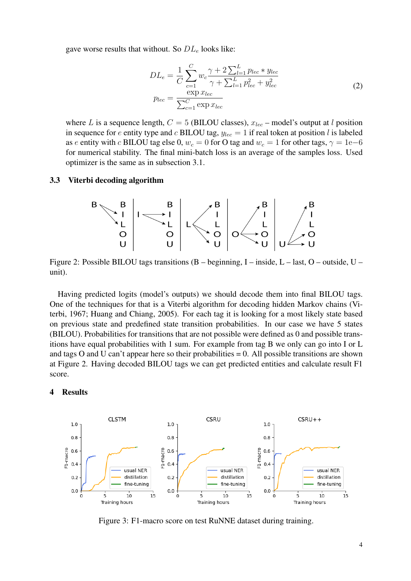gave worse results that without. So  $DL<sub>e</sub>$  looks like:

$$
DL_e = \frac{1}{C} \sum_{c=1}^{C} w_c \frac{\gamma + 2 \sum_{l=1}^{L} p_{lec} * y_{lec}}{\gamma + \sum_{l=1}^{L} p_{lec}^2 + y_{lec}^2}
$$
  
\n
$$
p_{lec} = \frac{\exp x_{lec}}{\sum_{c=1}^{C} \exp x_{lec}}
$$
 (2)

where L is a sequence length,  $C = 5$  (BILOU classes),  $x_{lec}$  – model's output at l position in sequence for  $e$  entity type and  $c$  BILOU tag,  $y_{\text{lec}} = 1$  if real token at position l is labeled as *e* entity with *c* BILOU tag else 0,  $w_c = 0$  for O tag and  $w_c = 1$  for other tags,  $\gamma = 1e-6$ for numerical stability. The final mini-batch loss is an average of the samples loss. Used optimizer is the same as in [subsection 3.1.](#page-2-1)

### <span id="page-3-0"></span>3.3 Viterbi decoding algorithm



Figure 2: Possible BILOU tags transitions (B – beginning, I – inside, L – last, O – outside, U – unit).

Having predicted logits (model's outputs) we should decode them into final BILOU tags. One of the techniques for that is a Viterbi algorithm for decoding hidden Markov chains [\(Vi](#page-6-10)[terbi, 1967;](#page-6-10) [Huang and Chiang, 2005\)](#page-5-8). For each tag it is looking for a most likely state based on previous state and predefined state transition probabilities. In our case we have 5 states (BILOU). Probabilities for transitions that are not possible were defined as 0 and possible transitions have equal probabilities with 1 sum. For example from tag B we only can go into I or L and tags O and U can't appear here so their probabilities  $= 0$ . All possible transitions are shown at [Figure 2.](#page-3-0) Having decoded BILOU tags we can get predicted entities and calculate result F1 score.

### 4 Results

<span id="page-3-1"></span>

Figure 3: F1-macro score on test RuNNE dataset during training.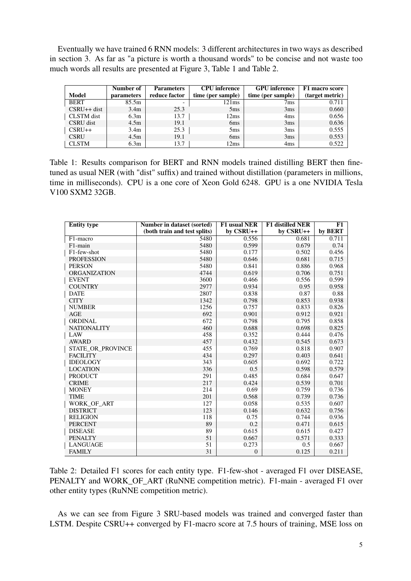Eventually we have trained 6 RNN models: 3 different architectures in two ways as described in [section 3.](#page-1-0) As far as "a picture is worth a thousand words" to be concise and not waste too much words all results are presented at [Figure 3,](#page-3-1) [Table 1](#page-4-1) and [Table 2.](#page-4-0)

<span id="page-4-1"></span>

|               | Number of         | <b>Parameters</b>        | <b>CPU</b> inference | <b>GPU</b> inference | F1 macro score  |
|---------------|-------------------|--------------------------|----------------------|----------------------|-----------------|
| <b>Model</b>  | <b>parameters</b> | reduce factor            | time (per sample)    | time (per sample)    | (target metric) |
| <b>BERT</b>   | 85.5m             | $\overline{\phantom{0}}$ | 121ms                | 7ms                  | 0.711           |
| $CSRU++$ dist | 3.4 <sub>m</sub>  | 25.3                     | 5 <sub>ms</sub>      | 3ms                  | 0.660           |
| CLSTM dist    | 6.3 <sub>m</sub>  | 13.7                     | 12ms                 | 4ms                  | 0.656           |
| CSRU dist     | 4.5 <sub>m</sub>  | 19.1                     | 6 <sub>ms</sub>      | 3ms                  | 0.636           |
| $CSRU++$      | 3.4 <sub>m</sub>  | 25.3                     | 5 <sub>ms</sub>      | 3ms                  | 0.555           |
| <b>CSRU</b>   | 4.5 <sub>m</sub>  | 19.1                     | 6 <sub>ms</sub>      | 3ms                  | 0.553           |
| <b>CLSTM</b>  | 6.3m              | 13.7                     | 12ms                 | 4 <sub>ms</sub>      | 0.522           |

Table 1: Results comparison for BERT and RNN models trained distilling BERT then finetuned as usual NER (with "dist" suffix) and trained without distillation (parameters in millions, time in milliseconds). CPU is a one core of Xeon Gold 6248. GPU is a one NVIDIA Tesla V100 SXM2 32GB.

<span id="page-4-0"></span>

| <b>Entity type</b>  | Number in dataset (sorted)   | F1 usual NER     | <b>F1</b> distilled NER | F1      |
|---------------------|------------------------------|------------------|-------------------------|---------|
|                     | (both train and test splits) | by CSRU++        | by CSRU++               | by BERT |
| F1-macro            | 5480                         | 0.556            | 0.681                   | 0.711   |
| F1-main             | 5480                         | 0.599            | 0.679                   | 0.74    |
| F1-few-shot         | 5480                         | 0.177            | 0.502                   | 0.456   |
| <b>PROFESSION</b>   | 5480                         | 0.646            | 0.681                   | 0.715   |
| <b>PERSON</b>       | 5480                         | 0.841            | 0.886                   | 0.968   |
| <b>ORGANIZATION</b> | 4744                         | 0.619            | 0.706                   | 0.751   |
| <b>EVENT</b>        | 3600                         | 0.466            | 0.556                   | 0.599   |
| <b>COUNTRY</b>      | 2977                         | 0.934            | 0.95                    | 0.958   |
| <b>DATE</b>         | 2807                         | 0.838            | 0.87                    | 0.88    |
| <b>CITY</b>         | 1342                         | 0.798            | 0.853                   | 0.938   |
| <b>NUMBER</b>       | 1256                         | 0.757            | 0.833                   | 0.826   |
| <b>AGE</b>          | 692                          | 0.901            | 0.912                   | 0.921   |
| <b>ORDINAL</b>      | 672                          | 0.798            | 0.795                   | 0.858   |
| <b>NATIONALITY</b>  | 460                          | 0.688            | 0.698                   | 0.825   |
| LAW                 | 458                          | 0.352            | 0.444                   | 0.476   |
| <b>AWARD</b>        | 457                          | 0.432            | 0.545                   | 0.673   |
| STATE_OR_PROVINCE   | 455                          | 0.769            | 0.818                   | 0.907   |
| <b>FACILITY</b>     | 434                          | 0.297            | 0.403                   | 0.641   |
| <b>IDEOLOGY</b>     | 343                          | 0.605            | 0.692                   | 0.722   |
| <b>LOCATION</b>     | 336                          | 0.5              | 0.598                   | 0.579   |
| <b>PRODUCT</b>      | 291                          | 0.485            | 0.684                   | 0.647   |
| <b>CRIME</b>        | 217                          | 0.424            | 0.539                   | 0.701   |
| <b>MONEY</b>        | 214                          | 0.69             | 0.759                   | 0.736   |
| <b>TIME</b>         | 201                          | 0.568            | 0.739                   | 0.736   |
| WORK OF ART         | 127                          | 0.058            | 0.535                   | 0.607   |
| <b>DISTRICT</b>     | 123                          | 0.146            | 0.632                   | 0.756   |
| <b>RELIGION</b>     | 118                          | 0.75             | 0.744                   | 0.936   |
| <b>PERCENT</b>      | 89                           | 0.2              | 0.471                   | 0.615   |
| <b>DISEASE</b>      | 89                           | 0.615            | 0.615                   | 0.427   |
| <b>PENALTY</b>      | 51                           | 0.667            | 0.571                   | 0.333   |
| <b>LANGUAGE</b>     | 51                           | 0.273            | 0.5                     | 0.667   |
| <b>FAMILY</b>       | 31                           | $\boldsymbol{0}$ | 0.125                   | 0.211   |

Table 2: Detailed F1 scores for each entity type. F1-few-shot - averaged F1 over DISEASE, PENALTY and WORK OF ART (RuNNE competition metric). F1-main - averaged F1 over other entity types (RuNNE competition metric).

As we can see from [Figure 3](#page-3-1) SRU-based models was trained and converged faster than LSTM. Despite CSRU++ converged by F1-macro score at 7.5 hours of training, MSE loss on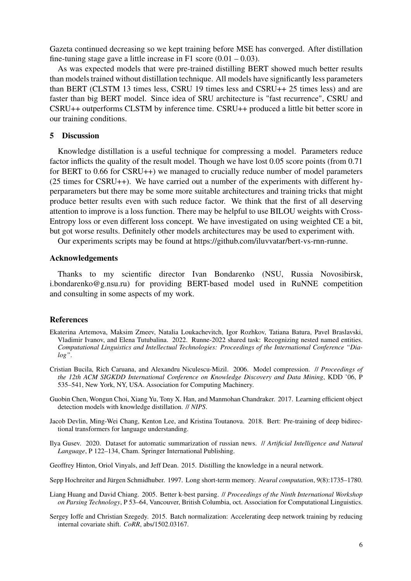Gazeta continued decreasing so we kept training before MSE has converged. After distillation fine-tuning stage gave a little increase in F1 score  $(0.01 - 0.03)$ .

As was expected models that were pre-trained distilling BERT showed much better results than models trained without distillation technique. All models have significantly less parameters than BERT (CLSTM 13 times less, CSRU 19 times less and CSRU++ 25 times less) and are faster than big BERT model. Since idea of SRU architecture is "fast recurrence", CSRU and CSRU++ outperforms CLSTM by inference time. CSRU++ produced a little bit better score in our training conditions.

# 5 Discussion

Knowledge distillation is a useful technique for compressing a model. Parameters reduce factor inflicts the quality of the result model. Though we have lost 0.05 score points (from 0.71 for BERT to 0.66 for CSRU++) we managed to crucially reduce number of model parameters (25 times for CSRU++). We have carried out a number of the experiments with different hyperparameters but there may be some more suitable architectures and training tricks that might produce better results even with such reduce factor. We think that the first of all deserving attention to improve is a loss function. There may be helpful to use BILOU weights with Cross-Entropy loss or even different loss concept. We have investigated on using weighted CE a bit, but got worse results. Definitely other models architectures may be used to experiment with.

Our experiments scripts may be found at [https://github.com/iluvvatar/bert-vs-rnn-runne.](https://github.com/iluvvatar/bert-vs-rnn-runne)

# Acknowledgements

Thanks to my scientific director Ivan Bondarenko (NSU, Russia Novosibirsk, i.bondarenko@g.nsu.ru) for providing BERT-based model used in RuNNE competition and consulting in some aspects of my work.

#### References

- <span id="page-5-1"></span>Ekaterina Artemova, Maksim Zmeev, Natalia Loukachevitch, Igor Rozhkov, Tatiana Batura, Pavel Braslavski, Vladimir Ivanov, and Elena Tutubalina. 2022. Runne-2022 shared task: Recognizing nested named entities. *Computational Linguistics and Intellectual Technologies: Proceedings of the International Conference "Dialog"*.
- <span id="page-5-2"></span>Cristian Bucila, Rich Caruana, and Alexandru Niculescu-Mizil. 2006. Model compression. // *Proceedings of the 12th ACM SIGKDD International Conference on Knowledge Discovery and Data Mining*, KDD '06, P 535–541, New York, NY, USA. Association for Computing Machinery.
- <span id="page-5-4"></span>Guobin Chen, Wongun Choi, Xiang Yu, Tony X. Han, and Manmohan Chandraker. 2017. Learning efficient object detection models with knowledge distillation. // *NIPS*.
- <span id="page-5-0"></span>Jacob Devlin, Ming-Wei Chang, Kenton Lee, and Kristina Toutanova. 2018. Bert: Pre-training of deep bidirectional transformers for language understanding.
- <span id="page-5-5"></span>Ilya Gusev. 2020. Dataset for automatic summarization of russian news. // *Artificial Intelligence and Natural Language*, P 122–134, Cham. Springer International Publishing.
- <span id="page-5-3"></span>Geoffrey Hinton, Oriol Vinyals, and Jeff Dean. 2015. Distilling the knowledge in a neural network.
- <span id="page-5-7"></span>Sepp Hochreiter and Jürgen Schmidhuber. 1997. Long short-term memory. *Neural computation*, 9(8):1735–1780.
- <span id="page-5-8"></span>Liang Huang and David Chiang. 2005. Better k-best parsing. // *Proceedings of the Ninth International Workshop on Parsing Technology*, P 53–64, Vancouver, British Columbia, oct. Association for Computational Linguistics.
- <span id="page-5-6"></span>Sergey Ioffe and Christian Szegedy. 2015. Batch normalization: Accelerating deep network training by reducing internal covariate shift. *CoRR*, abs/1502.03167.